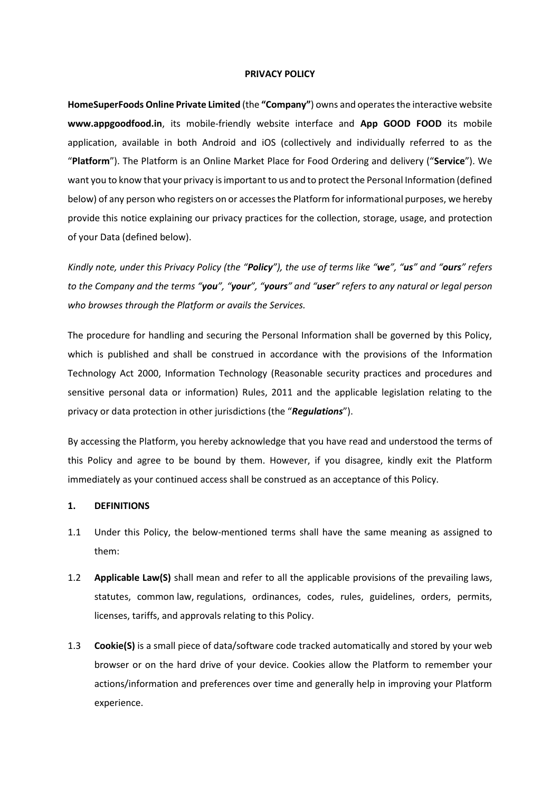#### **PRIVACY POLICY**

**HomeSuperFoods Online Private Limited** (the **"Company"**) owns and operates the interactive website **www.appgoodfood.in**, its mobile-friendly website interface and **App GOOD FOOD** its mobile application, available in both Android and iOS (collectively and individually referred to as the "**Platform**"). The Platform is an Online Market Place for Food Ordering and delivery ("**Service**"). We want you to know that your privacy is important to us and to protect the Personal Information (defined below) of any person who registers on or accesses the Platform for informational purposes, we hereby provide this notice explaining our privacy practices for the collection, storage, usage, and protection of your Data (defined below).

*Kindly note, under this Privacy Policy (the "Policy"), the use of terms like "we", "us" and "ours" refers to the Company and the terms "you", "your", "yours" and "user" refers to any natural or legal person who browses through the Platform or avails the Services.*

The procedure for handling and securing the Personal Information shall be governed by this Policy, which is published and shall be construed in accordance with the provisions of the Information Technology Act 2000, Information Technology (Reasonable security practices and procedures and sensitive personal data or information) Rules, 2011 and the applicable legislation relating to the privacy or data protection in other jurisdictions (the "*Regulations*").

By accessing the Platform, you hereby acknowledge that you have read and understood the terms of this Policy and agree to be bound by them. However, if you disagree, kindly exit the Platform immediately as your continued access shall be construed as an acceptance of this Policy.

#### **1. DEFINITIONS**

- 1.1 Under this Policy, the below-mentioned terms shall have the same meaning as assigned to them:
- 1.2 **Applicable Law(S)** shall mean and refer to all the applicable provisions of the prevailing laws, statutes, common law, regulations, ordinances, codes, rules, guidelines, orders, permits, licenses, tariffs, and approvals relating to this Policy.
- 1.3 **Cookie(S)** is a small piece of data/software code tracked automatically and stored by your web browser or on the hard drive of your device. Cookies allow the Platform to remember your actions/information and preferences over time and generally help in improving your Platform experience.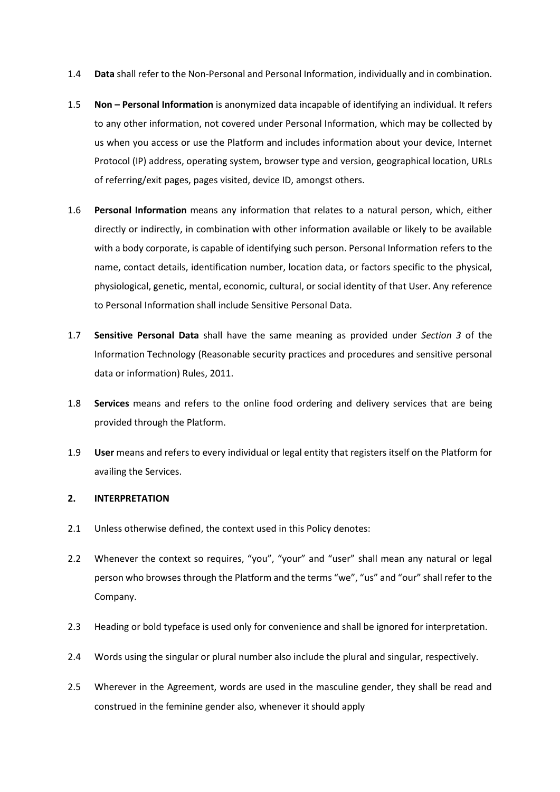- 1.4 **Data** shall refer to the Non-Personal and Personal Information, individually and in combination.
- 1.5 **Non – Personal Information** is anonymized data incapable of identifying an individual. It refers to any other information, not covered under Personal Information, which may be collected by us when you access or use the Platform and includes information about your device, Internet Protocol (IP) address, operating system, browser type and version, geographical location, URLs of referring/exit pages, pages visited, device ID, amongst others.
- 1.6 **Personal Information** means any information that relates to a natural person, which, either directly or indirectly, in combination with other information available or likely to be available with a body corporate, is capable of identifying such person. Personal Information refers to the name, contact details, identification number, location data, or factors specific to the physical, physiological, genetic, mental, economic, cultural, or social identity of that User. Any reference to Personal Information shall include Sensitive Personal Data.
- 1.7 **Sensitive Personal Data** shall have the same meaning as provided under *Section 3* of the Information Technology (Reasonable security practices and procedures and sensitive personal data or information) Rules, 2011.
- 1.8 **Services** means and refers to the online food ordering and delivery services that are being provided through the Platform.
- 1.9 **User** means and refers to every individual or legal entity that registers itself on the Platform for availing the Services.

## **2. INTERPRETATION**

- 2.1 Unless otherwise defined, the context used in this Policy denotes:
- 2.2 Whenever the context so requires, "you", "your" and "user" shall mean any natural or legal person who browses through the Platform and the terms "we", "us" and "our" shall refer to the Company.
- 2.3 Heading or bold typeface is used only for convenience and shall be ignored for interpretation.
- 2.4 Words using the singular or plural number also include the plural and singular, respectively.
- 2.5 Wherever in the Agreement, words are used in the masculine gender, they shall be read and construed in the feminine gender also, whenever it should apply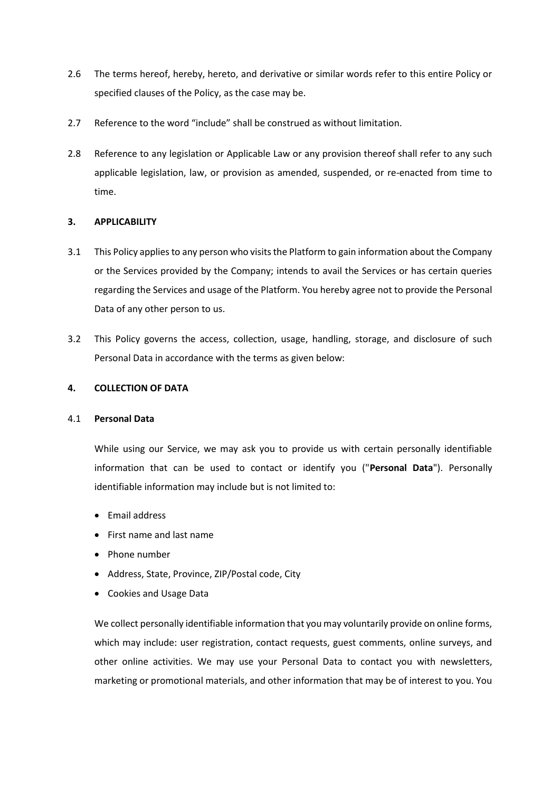- 2.6 The terms hereof, hereby, hereto, and derivative or similar words refer to this entire Policy or specified clauses of the Policy, as the case may be.
- 2.7 Reference to the word "include" shall be construed as without limitation.
- 2.8 Reference to any legislation or Applicable Law or any provision thereof shall refer to any such applicable legislation, law, or provision as amended, suspended, or re-enacted from time to time.

## **3. APPLICABILITY**

- 3.1 This Policy applies to any person who visits the Platform to gain information about the Company or the Services provided by the Company; intends to avail the Services or has certain queries regarding the Services and usage of the Platform. You hereby agree not to provide the Personal Data of any other person to us.
- 3.2 This Policy governs the access, collection, usage, handling, storage, and disclosure of such Personal Data in accordance with the terms as given below:

## **4. COLLECTION OF DATA**

## 4.1 **Personal Data**

While using our Service, we may ask you to provide us with certain personally identifiable information that can be used to contact or identify you ("**Personal Data**"). Personally identifiable information may include but is not limited to:

- Email address
- First name and last name
- Phone number
- Address, State, Province, ZIP/Postal code, City
- Cookies and Usage Data

We collect personally identifiable information that you may voluntarily provide on online forms, which may include: user registration, contact requests, guest comments, online surveys, and other online activities. We may use your Personal Data to contact you with newsletters, marketing or promotional materials, and other information that may be of interest to you. You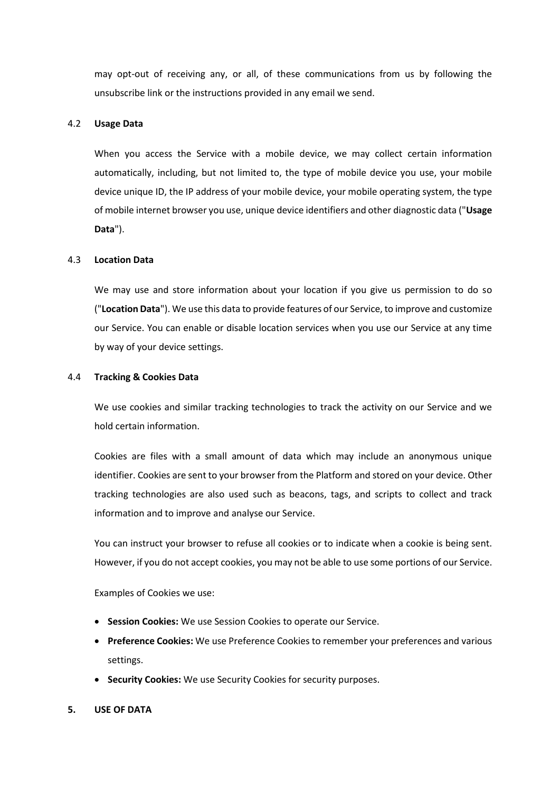may opt-out of receiving any, or all, of these communications from us by following the unsubscribe link or the instructions provided in any email we send.

#### 4.2 **Usage Data**

When you access the Service with a mobile device, we may collect certain information automatically, including, but not limited to, the type of mobile device you use, your mobile device unique ID, the IP address of your mobile device, your mobile operating system, the type of mobile internet browser you use, unique device identifiers and other diagnostic data ("**Usage Data**").

#### 4.3 **Location Data**

We may use and store information about your location if you give us permission to do so ("**Location Data**"). We use this data to provide features of our Service, to improve and customize our Service. You can enable or disable location services when you use our Service at any time by way of your device settings.

#### 4.4 **Tracking & Cookies Data**

We use cookies and similar tracking technologies to track the activity on our Service and we hold certain information.

Cookies are files with a small amount of data which may include an anonymous unique identifier. Cookies are sent to your browser from the Platform and stored on your device. Other tracking technologies are also used such as beacons, tags, and scripts to collect and track information and to improve and analyse our Service.

You can instruct your browser to refuse all cookies or to indicate when a cookie is being sent. However, if you do not accept cookies, you may not be able to use some portions of our Service.

Examples of Cookies we use:

- **Session Cookies:** We use Session Cookies to operate our Service.
- **Preference Cookies:** We use Preference Cookies to remember your preferences and various settings.
- **Security Cookies:** We use Security Cookies for security purposes.

#### **5. USE OF DATA**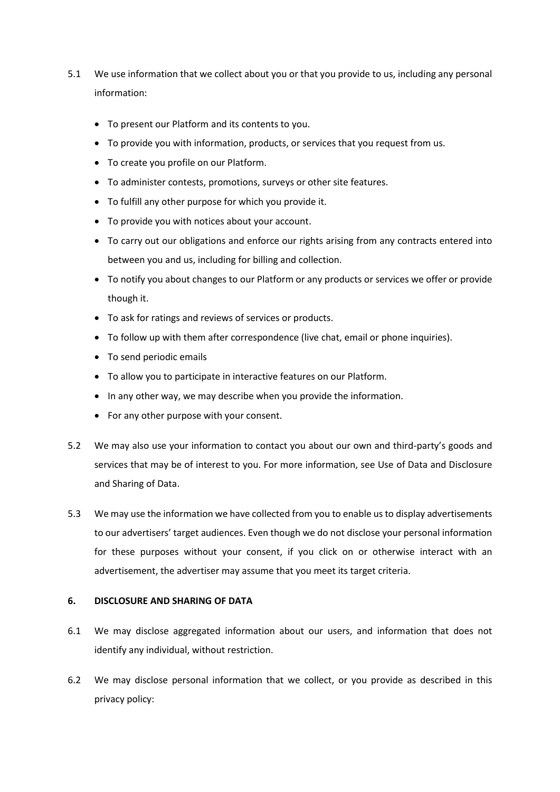- 5.1 We use information that we collect about you or that you provide to us, including any personal information:
	- To present our Platform and its contents to you.
	- To provide you with information, products, or services that you request from us.
	- To create you profile on our Platform.
	- To administer contests, promotions, surveys or other site features.
	- To fulfill any other purpose for which you provide it.
	- To provide you with notices about your account.
	- To carry out our obligations and enforce our rights arising from any contracts entered into between you and us, including for billing and collection.
	- To notify you about changes to our Platform or any products or services we offer or provide though it.
	- To ask for ratings and reviews of services or products.
	- To follow up with them after correspondence (live chat, email or phone inquiries).
	- To send periodic emails
	- To allow you to participate in interactive features on our Platform.
	- In any other way, we may describe when you provide the information.
	- For any other purpose with your consent.
- 5.2 We may also use your information to contact you about our own and third-party's goods and services that may be of interest to you. For more information, see Use of Data and Disclosure and Sharing of Data.
- 5.3 We may use the information we have collected from you to enable us to display advertisements to our advertisers' target audiences. Even though we do not disclose your personal information for these purposes without your consent, if you click on or otherwise interact with an advertisement, the advertiser may assume that you meet its target criteria.

## **6. DISCLOSURE AND SHARING OF DATA**

- 6.1 We may disclose aggregated information about our users, and information that does not identify any individual, without restriction.
- 6.2 We may disclose personal information that we collect, or you provide as described in this privacy policy: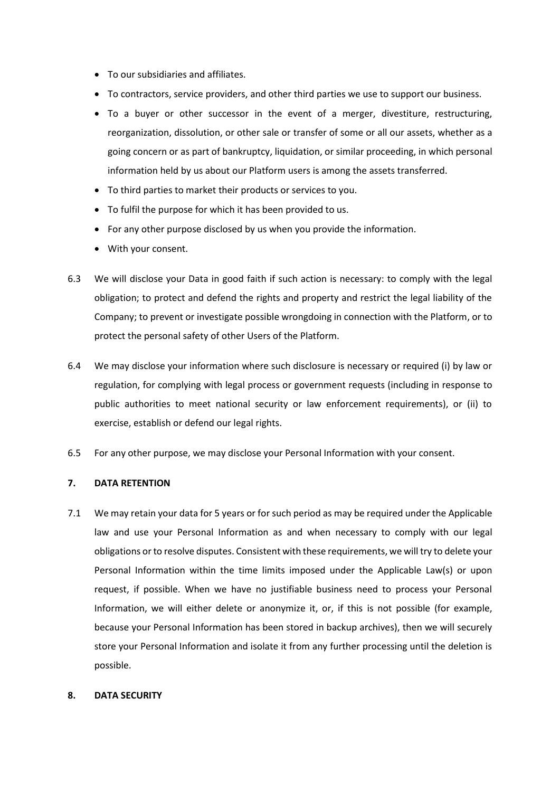- To our subsidiaries and affiliates.
- To contractors, service providers, and other third parties we use to support our business.
- To a buyer or other successor in the event of a merger, divestiture, restructuring, reorganization, dissolution, or other sale or transfer of some or all our assets, whether as a going concern or as part of bankruptcy, liquidation, or similar proceeding, in which personal information held by us about our Platform users is among the assets transferred.
- To third parties to market their products or services to you.
- To fulfil the purpose for which it has been provided to us.
- For any other purpose disclosed by us when you provide the information.
- With your consent.
- 6.3 We will disclose your Data in good faith if such action is necessary: to comply with the legal obligation; to protect and defend the rights and property and restrict the legal liability of the Company; to prevent or investigate possible wrongdoing in connection with the Platform, or to protect the personal safety of other Users of the Platform.
- 6.4 We may disclose your information where such disclosure is necessary or required (i) by law or regulation, for complying with legal process or government requests (including in response to public authorities to meet national security or law enforcement requirements), or (ii) to exercise, establish or defend our legal rights.
- 6.5 For any other purpose, we may disclose your Personal Information with your consent.

## **7. DATA RETENTION**

7.1 We may retain your data for 5 years or for such period as may be required under the Applicable law and use your Personal Information as and when necessary to comply with our legal obligations or to resolve disputes. Consistent with these requirements, we will try to delete your Personal Information within the time limits imposed under the Applicable Law(s) or upon request, if possible. When we have no justifiable business need to process your Personal Information, we will either delete or anonymize it, or, if this is not possible (for example, because your Personal Information has been stored in backup archives), then we will securely store your Personal Information and isolate it from any further processing until the deletion is possible.

## **8. DATA SECURITY**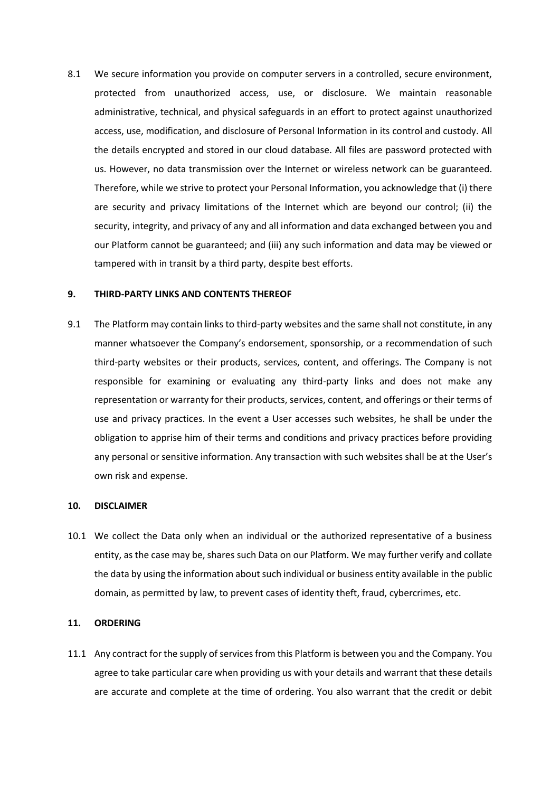8.1 We secure information you provide on computer servers in a controlled, secure environment, protected from unauthorized access, use, or disclosure. We maintain reasonable administrative, technical, and physical safeguards in an effort to protect against unauthorized access, use, modification, and disclosure of Personal Information in its control and custody. All the details encrypted and stored in our cloud database. All files are password protected with us. However, no data transmission over the Internet or wireless network can be guaranteed. Therefore, while we strive to protect your Personal Information, you acknowledge that (i) there are security and privacy limitations of the Internet which are beyond our control; (ii) the security, integrity, and privacy of any and all information and data exchanged between you and our Platform cannot be guaranteed; and (iii) any such information and data may be viewed or tampered with in transit by a third party, despite best efforts.

#### **9. THIRD-PARTY LINKS AND CONTENTS THEREOF**

9.1 The Platform may contain links to third-party websites and the same shall not constitute, in any manner whatsoever the Company's endorsement, sponsorship, or a recommendation of such third-party websites or their products, services, content, and offerings. The Company is not responsible for examining or evaluating any third-party links and does not make any representation or warranty for their products, services, content, and offerings or their terms of use and privacy practices. In the event a User accesses such websites, he shall be under the obligation to apprise him of their terms and conditions and privacy practices before providing any personal or sensitive information. Any transaction with such websites shall be at the User's own risk and expense.

#### **10. DISCLAIMER**

10.1 We collect the Data only when an individual or the authorized representative of a business entity, as the case may be, shares such Data on our Platform. We may further verify and collate the data by using the information about such individual or business entity available in the public domain, as permitted by law, to prevent cases of identity theft, fraud, cybercrimes, etc.

### **11. ORDERING**

11.1 Any contract for the supply of services from this Platform is between you and the Company. You agree to take particular care when providing us with your details and warrant that these details are accurate and complete at the time of ordering. You also warrant that the credit or debit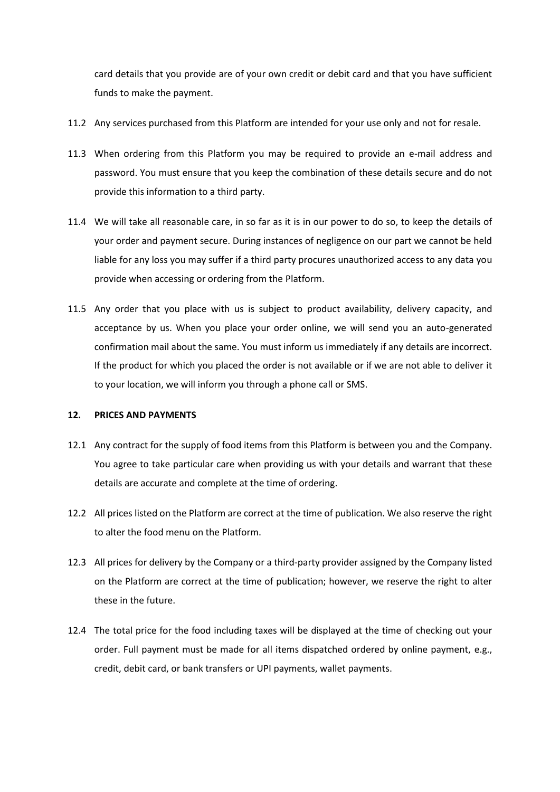card details that you provide are of your own credit or debit card and that you have sufficient funds to make the payment.

- 11.2 Any services purchased from this Platform are intended for your use only and not for resale.
- 11.3 When ordering from this Platform you may be required to provide an e-mail address and password. You must ensure that you keep the combination of these details secure and do not provide this information to a third party.
- 11.4 We will take all reasonable care, in so far as it is in our power to do so, to keep the details of your order and payment secure. During instances of negligence on our part we cannot be held liable for any loss you may suffer if a third party procures unauthorized access to any data you provide when accessing or ordering from the Platform.
- 11.5 Any order that you place with us is subject to product availability, delivery capacity, and acceptance by us. When you place your order online, we will send you an auto-generated confirmation mail about the same. You must inform us immediately if any details are incorrect. If the product for which you placed the order is not available or if we are not able to deliver it to your location, we will inform you through a phone call or SMS.

## **12. PRICES AND PAYMENTS**

- 12.1 Any contract for the supply of food items from this Platform is between you and the Company. You agree to take particular care when providing us with your details and warrant that these details are accurate and complete at the time of ordering.
- 12.2 All prices listed on the Platform are correct at the time of publication. We also reserve the right to alter the food menu on the Platform.
- 12.3 All prices for delivery by the Company or a third-party provider assigned by the Company listed on the Platform are correct at the time of publication; however, we reserve the right to alter these in the future.
- 12.4 The total price for the food including taxes will be displayed at the time of checking out your order. Full payment must be made for all items dispatched ordered by online payment, e.g., credit, debit card, or bank transfers or UPI payments, wallet payments.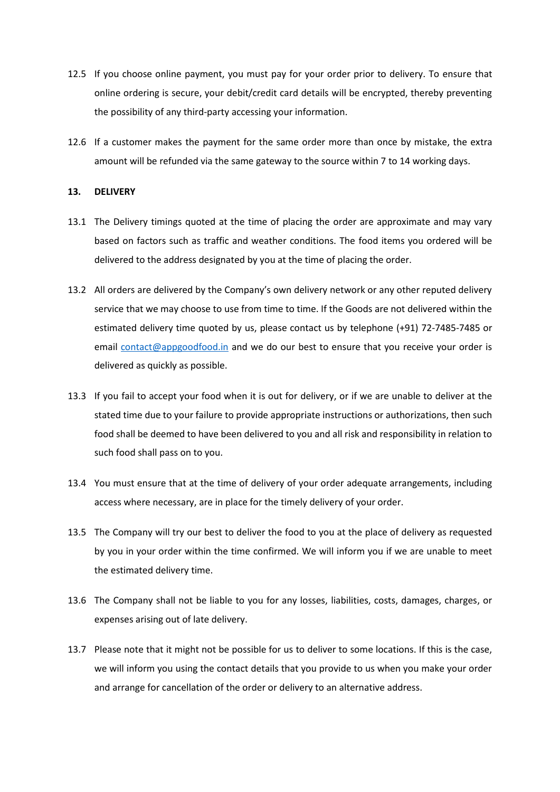- 12.5 If you choose online payment, you must pay for your order prior to delivery. To ensure that online ordering is secure, your debit/credit card details will be encrypted, thereby preventing the possibility of any third-party accessing your information.
- 12.6 If a customer makes the payment for the same order more than once by mistake, the extra amount will be refunded via the same gateway to the source within 7 to 14 working days.

### **13. DELIVERY**

- 13.1 The Delivery timings quoted at the time of placing the order are approximate and may vary based on factors such as traffic and weather conditions. The food items you ordered will be delivered to the address designated by you at the time of placing the order.
- 13.2 All orders are delivered by the Company's own delivery network or any other reputed delivery service that we may choose to use from time to time. If the Goods are not delivered within the estimated delivery time quoted by us, please contact us by telephone (+91) 72-7485-7485 or email [contact@appgoodfood.in](mailto:contact@appgoodfood.in) and we do our best to ensure that you receive your order is delivered as quickly as possible.
- 13.3 If you fail to accept your food when it is out for delivery, or if we are unable to deliver at the stated time due to your failure to provide appropriate instructions or authorizations, then such food shall be deemed to have been delivered to you and all risk and responsibility in relation to such food shall pass on to you.
- 13.4 You must ensure that at the time of delivery of your order adequate arrangements, including access where necessary, are in place for the timely delivery of your order.
- 13.5 The Company will try our best to deliver the food to you at the place of delivery as requested by you in your order within the time confirmed. We will inform you if we are unable to meet the estimated delivery time.
- 13.6 The Company shall not be liable to you for any losses, liabilities, costs, damages, charges, or expenses arising out of late delivery.
- 13.7 Please note that it might not be possible for us to deliver to some locations. If this is the case, we will inform you using the contact details that you provide to us when you make your order and arrange for cancellation of the order or delivery to an alternative address.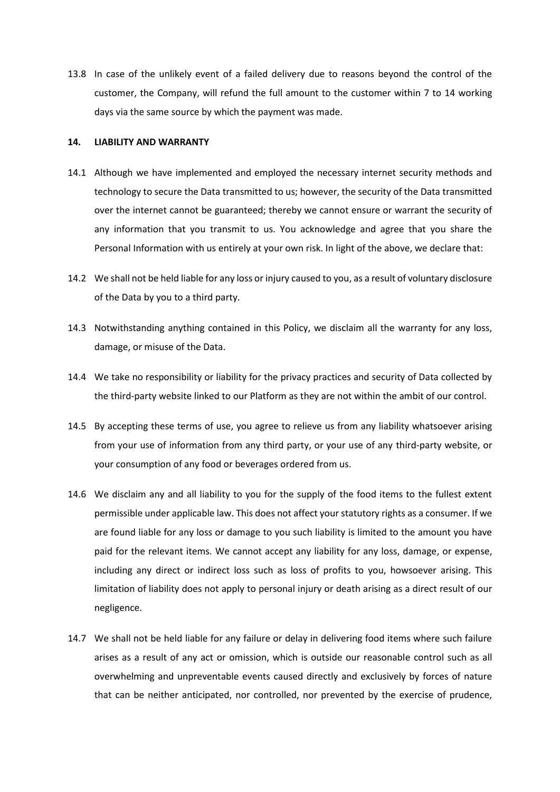13.8 In case of the unlikely event of a failed delivery due to reasons beyond the control of the customer, the Company, will refund the full amount to the customer within 7 to 14 working days via the same source by which the payment was made.

#### **14. LIABILITY AND WARRANTY**

- 14.1 Although we have implemented and employed the necessary internet security methods and technology to secure the Data transmitted to us; however, the security of the Data transmitted over the internet cannot be guaranteed; thereby we cannot ensure or warrant the security of any information that you transmit to us. You acknowledge and agree that you share the Personal Information with us entirely at your own risk. In light of the above, we declare that:
- 14.2 We shall not be held liable for any loss or injury caused to you, as a result of voluntary disclosure of the Data by you to a third party.
- 14.3 Notwithstanding anything contained in this Policy, we disclaim all the warranty for any loss, damage, or misuse of the Data.
- 14.4 We take no responsibility or liability for the privacy practices and security of Data collected by the third-party website linked to our Platform as they are not within the ambit of our control.
- 14.5 By accepting these terms of use, you agree to relieve us from any liability whatsoever arising from your use of information from any third party, or your use of any third-party website, or your consumption of any food or beverages ordered from us.
- 14.6 We disclaim any and all liability to you for the supply of the food items to the fullest extent permissible under applicable law. This does not affect your statutory rights as a consumer. If we are found liable for any loss or damage to you such liability is limited to the amount you have paid for the relevant items. We cannot accept any liability for any loss, damage, or expense, including any direct or indirect loss such as loss of profits to you, howsoever arising. This limitation of liability does not apply to personal injury or death arising as a direct result of our negligence.
- 14.7 We shall not be held liable for any failure or delay in delivering food items where such failure arises as a result of any act or omission, which is outside our reasonable control such as all overwhelming and unpreventable events caused directly and exclusively by forces of nature that can be neither anticipated, nor controlled, nor prevented by the exercise of prudence,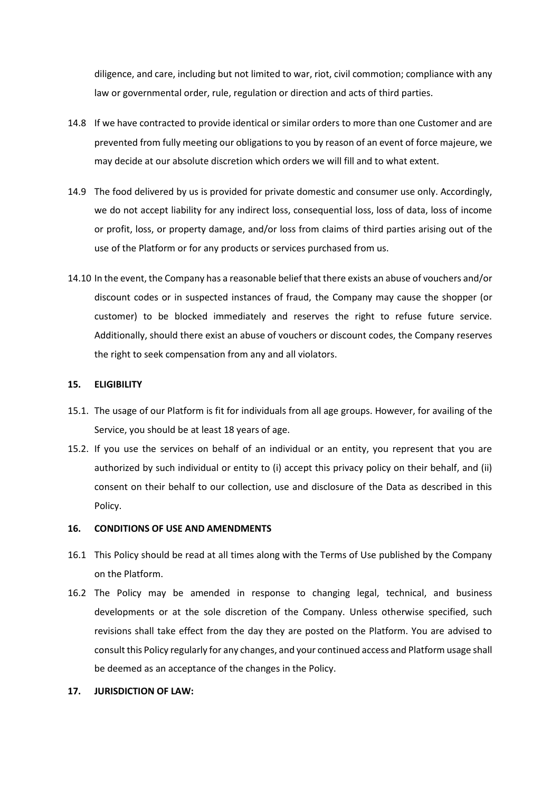diligence, and care, including but not limited to war, riot, civil commotion; compliance with any law or governmental order, rule, regulation or direction and acts of third parties.

- 14.8 If we have contracted to provide identical or similar orders to more than one Customer and are prevented from fully meeting our obligations to you by reason of an event of force majeure, we may decide at our absolute discretion which orders we will fill and to what extent.
- 14.9 The food delivered by us is provided for private domestic and consumer use only. Accordingly, we do not accept liability for any indirect loss, consequential loss, loss of data, loss of income or profit, loss, or property damage, and/or loss from claims of third parties arising out of the use of the Platform or for any products or services purchased from us.
- 14.10 In the event, the Company has a reasonable belief that there exists an abuse of vouchers and/or discount codes or in suspected instances of fraud, the Company may cause the shopper (or customer) to be blocked immediately and reserves the right to refuse future service. Additionally, should there exist an abuse of vouchers or discount codes, the Company reserves the right to seek compensation from any and all violators.

#### **15. ELIGIBILITY**

- 15.1. The usage of our Platform is fit for individuals from all age groups. However, for availing of the Service, you should be at least 18 years of age.
- 15.2. If you use the services on behalf of an individual or an entity, you represent that you are authorized by such individual or entity to (i) accept this privacy policy on their behalf, and (ii) consent on their behalf to our collection, use and disclosure of the Data as described in this Policy.

## **16. CONDITIONS OF USE AND AMENDMENTS**

- 16.1 This Policy should be read at all times along with the Terms of Use published by the Company on the Platform.
- 16.2 The Policy may be amended in response to changing legal, technical, and business developments or at the sole discretion of the Company. Unless otherwise specified, such revisions shall take effect from the day they are posted on the Platform. You are advised to consult this Policy regularly for any changes, and your continued access and Platform usage shall be deemed as an acceptance of the changes in the Policy.
- **17. JURISDICTION OF LAW:**